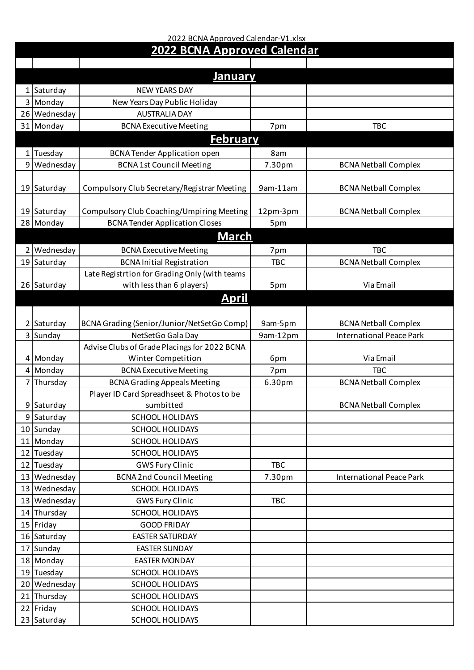## 2022 BCNA Approved Calendar-V1.xlsx **2022 BCNA Approved Calendar**

|                | <u>January</u>       |                                                                                  |            |                                 |
|----------------|----------------------|----------------------------------------------------------------------------------|------------|---------------------------------|
|                | 1 Saturday           | <b>NEW YEARS DAY</b>                                                             |            |                                 |
|                | 3 Monday             | New Years Day Public Holiday                                                     |            |                                 |
|                | 26 Wednesday         | <b>AUSTRALIA DAY</b>                                                             |            |                                 |
|                | 31 Monday            | <b>BCNA Executive Meeting</b>                                                    | 7pm        | <b>TBC</b>                      |
|                |                      | <b>February</b>                                                                  |            |                                 |
|                |                      |                                                                                  |            |                                 |
| 1 <sup>1</sup> | Tuesday              | <b>BCNA Tender Application open</b>                                              | 8am        |                                 |
| 9 <sup>1</sup> | Wednesday            | <b>BCNA1st Council Meeting</b>                                                   | 7.30pm     | <b>BCNA Netball Complex</b>     |
|                |                      | Compulsory Club Secretary/Registrar Meeting                                      | 9am-11am   |                                 |
|                | 19 Saturday          |                                                                                  |            | <b>BCNA Netball Complex</b>     |
|                | 19 Saturday          | Compulsory Club Coaching/Umpiring Meeting                                        | 12pm-3pm   | <b>BCNA Netball Complex</b>     |
|                | 28 Monday            | <b>BCNA Tender Application Closes</b>                                            | 5pm        |                                 |
|                |                      | <u>March</u>                                                                     |            |                                 |
|                |                      |                                                                                  |            |                                 |
|                | 2 Wednesday          | <b>BCNA Executive Meeting</b>                                                    | 7pm        | <b>TBC</b>                      |
|                | 19 Saturday          | <b>BCNA Initial Registration</b>                                                 | <b>TBC</b> | <b>BCNA Netball Complex</b>     |
|                |                      | Late Registrtion for Grading Only (with teams                                    |            | Via Email                       |
|                | 26 Saturday          | with less than 6 players)                                                        | 5pm        |                                 |
|                |                      | <u>April</u>                                                                     |            |                                 |
|                |                      |                                                                                  |            |                                 |
|                | 2 Saturday           | BCNA Grading (Senior/Junior/NetSetGo Comp)                                       | 9am-5pm    | <b>BCNA Netball Complex</b>     |
|                | 3 Sunday             | NetSetGo Gala Day                                                                | 9am-12pm   | <b>International Peace Park</b> |
|                |                      | Advise Clubs of Grade Placings for 2022 BCNA                                     |            | Via Email                       |
|                | 4 Monday<br>4 Monday | Winter Competition                                                               | 6pm<br>7pm | <b>TBC</b>                      |
|                | 7 Thursday           | <b>BCNA Executive Meeting</b>                                                    | 6.30pm     | <b>BCNA Netball Complex</b>     |
|                |                      | <b>BCNA Grading Appeals Meeting</b><br>Player ID Card Spreadhseet & Photos to be |            |                                 |
|                | 9 Saturday           | sumbitted                                                                        |            | <b>BCNA Netball Complex</b>     |
|                | 9 Saturday           | <b>SCHOOL HOLIDAYS</b>                                                           |            |                                 |
|                | 10 Sunday            | <b>SCHOOL HOLIDAYS</b>                                                           |            |                                 |
|                | 11 Monday            | <b>SCHOOL HOLIDAYS</b>                                                           |            |                                 |
|                | 12 Tuesday           | SCHOOL HOLIDAYS                                                                  |            |                                 |
|                | 12 Tuesday           | <b>GWS Fury Clinic</b>                                                           | <b>TBC</b> |                                 |
|                | 13 Wednesday         | <b>BCNA 2nd Council Meeting</b>                                                  | 7.30pm     | <b>International Peace Park</b> |
|                | 13 Wednesday         | <b>SCHOOL HOLIDAYS</b>                                                           |            |                                 |
|                | 13 Wednesday         | <b>GWS Fury Clinic</b>                                                           | <b>TBC</b> |                                 |
|                | 14 Thursday          | SCHOOL HOLIDAYS                                                                  |            |                                 |
|                | 15 Friday            | <b>GOOD FRIDAY</b>                                                               |            |                                 |
|                | 16 Saturday          | <b>EASTER SATURDAY</b>                                                           |            |                                 |
|                | 17 Sunday            | <b>EASTER SUNDAY</b>                                                             |            |                                 |
|                | 18 Monday            | <b>EASTER MONDAY</b>                                                             |            |                                 |
|                | 19 Tuesday           | SCHOOL HOLIDAYS                                                                  |            |                                 |
|                | 20 Wednesday         | <b>SCHOOL HOLIDAYS</b>                                                           |            |                                 |
|                | 21 Thursday          | SCHOOL HOLIDAYS                                                                  |            |                                 |
|                | 22 Friday            | SCHOOL HOLIDAYS                                                                  |            |                                 |
|                | 23 Saturday          | SCHOOL HOLIDAYS                                                                  |            |                                 |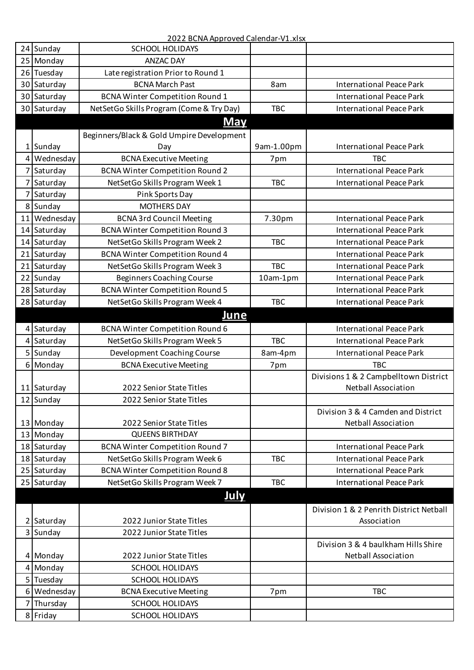## 2022 BCNA Approved Calendar-V1.xlsx

|                 | 24 Sunday   | <b>SCHOOL HOLIDAYS</b>                    |            |                                         |
|-----------------|-------------|-------------------------------------------|------------|-----------------------------------------|
| 25              | Monday      | <b>ANZAC DAY</b>                          |            |                                         |
|                 | 26 Tuesday  | Late registration Prior to Round 1        |            |                                         |
|                 | 30 Saturday | <b>BCNA March Past</b>                    | 8am        | <b>International Peace Park</b>         |
|                 | 30 Saturday | <b>BCNA Winter Competition Round 1</b>    |            | <b>International Peace Park</b>         |
|                 | 30 Saturday | NetSetGo Skills Program (Come & Try Day)  | <b>TBC</b> | <b>International Peace Park</b>         |
|                 |             | <b>May</b>                                |            |                                         |
|                 |             | Beginners/Black & Gold Umpire Development |            |                                         |
|                 | 1 Sunday    | Day                                       | 9am-1.00pm | <b>International Peace Park</b>         |
| 4               | Wednesday   | <b>BCNA Executive Meeting</b>             | 7pm        | <b>TBC</b>                              |
| 71              | Saturday    | <b>BCNA Winter Competition Round 2</b>    |            | <b>International Peace Park</b>         |
|                 | 7 Saturday  | NetSetGo Skills Program Week 1            | <b>TBC</b> | <b>International Peace Park</b>         |
| 7 <sup>1</sup>  | Saturday    | Pink Sports Day                           |            |                                         |
|                 | 8 Sunday    | <b>MOTHERS DAY</b>                        |            |                                         |
| 11 <sup>1</sup> | Wednesday   | <b>BCNA 3rd Council Meeting</b>           | 7.30pm     | <b>International Peace Park</b>         |
|                 | 14 Saturday | <b>BCNA Winter Competition Round 3</b>    |            | <b>International Peace Park</b>         |
| 14              | Saturday    | NetSetGo Skills Program Week 2            | <b>TBC</b> | <b>International Peace Park</b>         |
|                 | 21 Saturday | <b>BCNA Winter Competition Round 4</b>    |            | <b>International Peace Park</b>         |
| 21              | Saturday    | NetSetGo Skills Program Week 3            | <b>TBC</b> | <b>International Peace Park</b>         |
|                 | 22 Sunday   | <b>Beginners Coaching Course</b>          | 10am-1pm   | <b>International Peace Park</b>         |
|                 | 28 Saturday | <b>BCNA Winter Competition Round 5</b>    |            | <b>International Peace Park</b>         |
|                 | 28 Saturday | NetSetGo Skills Program Week 4            | <b>TBC</b> | <b>International Peace Park</b>         |
|                 |             | <b>June</b>                               |            |                                         |
|                 | 4 Saturday  | <b>BCNA Winter Competition Round 6</b>    |            | <b>International Peace Park</b>         |
|                 | 4 Saturday  | NetSetGo Skills Program Week 5            | <b>TBC</b> | <b>International Peace Park</b>         |
|                 | 5 Sunday    | Development Coaching Course               | 8am-4pm    | <b>International Peace Park</b>         |
|                 | 6 Monday    | <b>BCNA Executive Meeting</b>             | 7pm        | <b>TBC</b>                              |
|                 |             |                                           |            | Divisions 1 & 2 Campbelltown District   |
|                 | 11 Saturday | 2022 Senior State Titles                  |            | <b>Netball Association</b>              |
|                 | 12 Sunday   | 2022 Senior State Titles                  |            |                                         |
|                 |             |                                           |            | Division 3 & 4 Camden and District      |
|                 | 13 Monday   | 2022 Senior State Titles                  |            | <b>Netball Association</b>              |
|                 | 13 Monday   | <b>QUEENS BIRTHDAY</b>                    |            |                                         |
|                 | 18 Saturday | <b>BCNA Winter Competition Round 7</b>    |            | <b>International Peace Park</b>         |
|                 | 18 Saturday | NetSetGo Skills Program Week 6            | <b>TBC</b> | <b>International Peace Park</b>         |
|                 | 25 Saturday | <b>BCNA Winter Competition Round 8</b>    |            | <b>International Peace Park</b>         |
|                 | 25 Saturday | NetSetGo Skills Program Week 7            | <b>TBC</b> | <b>International Peace Park</b>         |
|                 |             | July                                      |            |                                         |
|                 |             |                                           |            | Division 1 & 2 Penrith District Netball |
|                 | 2 Saturday  | 2022 Junior State Titles                  |            | Association                             |
|                 | 3 Sunday    | 2022 Junior State Titles                  |            |                                         |
|                 |             |                                           |            | Division 3 & 4 baulkham Hills Shire     |
|                 | 4 Monday    | 2022 Junior State Titles                  |            | <b>Netball Association</b>              |
|                 | 4 Monday    | <b>SCHOOL HOLIDAYS</b>                    |            |                                         |
|                 | 5 Tuesday   | SCHOOL HOLIDAYS                           |            |                                         |
|                 | 6 Wednesday | <b>BCNA Executive Meeting</b>             | 7pm        | <b>TBC</b>                              |
|                 | 7 Thursday  | <b>SCHOOL HOLIDAYS</b>                    |            |                                         |
|                 | 8 Friday    | <b>SCHOOL HOLIDAYS</b>                    |            |                                         |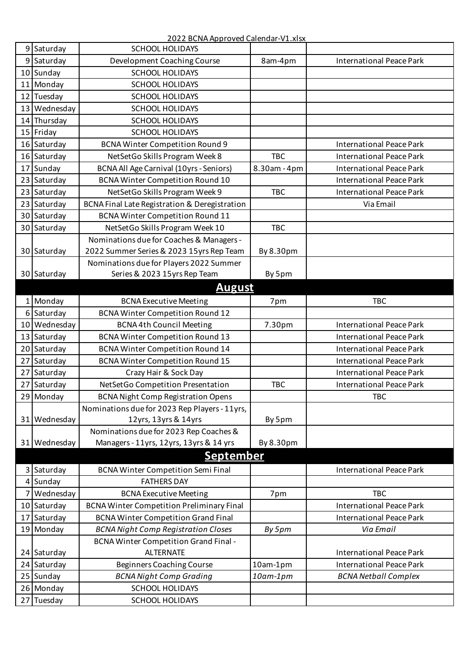2022 BCNA Approved Calendar-V1.xlsx

|                 | 9 Saturday   | <b>SCHOOL HOLIDAYS</b>                           |                 |                                 |
|-----------------|--------------|--------------------------------------------------|-----------------|---------------------------------|
|                 | 9 Saturday   | Development Coaching Course                      | 8am-4pm         | <b>International Peace Park</b> |
|                 | 10 Sunday    | <b>SCHOOL HOLIDAYS</b>                           |                 |                                 |
|                 | 11 Monday    | <b>SCHOOL HOLIDAYS</b>                           |                 |                                 |
|                 | 12 Tuesday   | <b>SCHOOL HOLIDAYS</b>                           |                 |                                 |
|                 | 13 Wednesday | <b>SCHOOL HOLIDAYS</b>                           |                 |                                 |
| 14 <sub>1</sub> | Thursday     | <b>SCHOOL HOLIDAYS</b>                           |                 |                                 |
|                 | 15 Friday    | <b>SCHOOL HOLIDAYS</b>                           |                 |                                 |
|                 | 16 Saturday  | <b>BCNA Winter Competition Round 9</b>           |                 | <b>International Peace Park</b> |
|                 | 16 Saturday  | NetSetGo Skills Program Week 8                   | <b>TBC</b>      | <b>International Peace Park</b> |
| 17              | Sunday       | <b>BCNA All Age Carnival (10yrs - Seniors)</b>   | 8.30am - 4pm    | <b>International Peace Park</b> |
|                 | 23 Saturday  | <b>BCNA Winter Competition Round 10</b>          |                 | <b>International Peace Park</b> |
|                 | 23 Saturday  | NetSetGo Skills Program Week 9                   | <b>TBC</b>      | <b>International Peace Park</b> |
|                 | 23 Saturday  | BCNA Final Late Registration & Deregistration    |                 | Via Email                       |
|                 | 30 Saturday  | <b>BCNA Winter Competition Round 11</b>          |                 |                                 |
|                 | 30 Saturday  | NetSetGo Skills Program Week 10                  | <b>TBC</b>      |                                 |
|                 |              | Nominations due for Coaches & Managers -         |                 |                                 |
|                 | 30 Saturday  | 2022 Summer Series & 2023 15yrs Rep Team         | By 8.30pm       |                                 |
|                 |              | Nominations due for Players 2022 Summer          |                 |                                 |
|                 | 30 Saturday  | Series & 2023 15yrs Rep Team                     | By 5pm          |                                 |
|                 |              | <b>August</b>                                    |                 |                                 |
|                 | 1 Monday     | <b>BCNA Executive Meeting</b>                    | 7pm             | <b>TBC</b>                      |
|                 | 6 Saturday   | BCNA Winter Competition Round 12                 |                 |                                 |
|                 | 10 Wednesday | <b>BCNA 4th Council Meeting</b>                  | 7.30pm          | <b>International Peace Park</b> |
|                 | 13 Saturday  | <b>BCNA Winter Competition Round 13</b>          |                 | <b>International Peace Park</b> |
| 20 <sup>1</sup> | Saturday     | <b>BCNA Winter Competition Round 14</b>          |                 | <b>International Peace Park</b> |
| 27              | Saturday     | <b>BCNA Winter Competition Round 15</b>          |                 | <b>International Peace Park</b> |
| 27              | Saturday     | Crazy Hair & Sock Day                            |                 | <b>International Peace Park</b> |
| 27              | Saturday     | NetSetGo Competition Presentation                | <b>TBC</b>      | <b>International Peace Park</b> |
|                 | 29 Monday    | <b>BCNA Night Comp Registration Opens</b>        |                 | <b>TBC</b>                      |
|                 |              | Nominations due for 2023 Rep Players - 11yrs,    |                 |                                 |
|                 | 31 Wednesday | 12yrs, 13yrs & 14yrs                             | By 5pm          |                                 |
|                 |              | Nominations due for 2023 Rep Coaches &           |                 |                                 |
|                 | 31 Wednesday | Managers - 11yrs, 12yrs, 13yrs & 14 yrs          | By 8.30pm       |                                 |
|                 |              | <u>September</u>                                 |                 |                                 |
|                 | 3 Saturday   | <b>BCNA Winter Competition Semi Final</b>        |                 | <b>International Peace Park</b> |
|                 | 4 Sunday     | <b>FATHERS DAY</b>                               |                 |                                 |
|                 | 7 Wednesday  | <b>BCNA Executive Meeting</b>                    | 7pm             | <b>TBC</b>                      |
|                 | 10 Saturday  | <b>BCNA Winter Competition Preliminary Final</b> |                 | <b>International Peace Park</b> |
|                 | 17 Saturday  | <b>BCNA Winter Competition Grand Final</b>       |                 | <b>International Peace Park</b> |
|                 | 19 Monday    | <b>BCNA Night Comp Registration Closes</b>       | By 5pm          | Via Email                       |
|                 |              | <b>BCNA Winter Competition Grand Final -</b>     |                 |                                 |
|                 | 24 Saturday  | <b>ALTERNATE</b>                                 |                 | <b>International Peace Park</b> |
|                 | 24 Saturday  | <b>Beginners Coaching Course</b>                 | 10am-1pm        | <b>International Peace Park</b> |
|                 | 25 Sunday    | <b>BCNA Night Comp Grading</b>                   | $10$ am- $1$ pm | <b>BCNA Netball Complex</b>     |
|                 | 26 Monday    | <b>SCHOOL HOLIDAYS</b>                           |                 |                                 |
|                 | 27 Tuesday   | <b>SCHOOL HOLIDAYS</b>                           |                 |                                 |